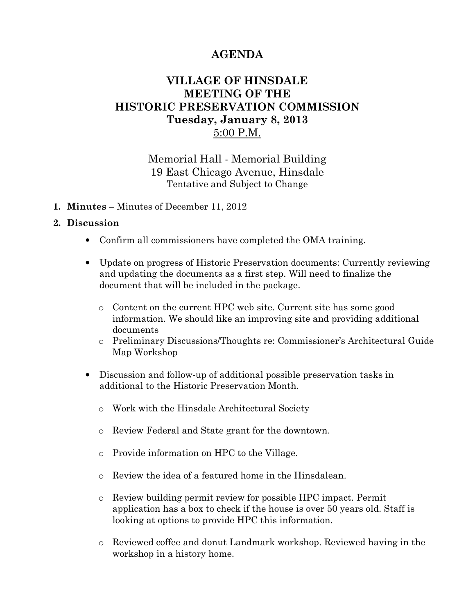# AGENDA

## VILLAGE OF HINSDALE MEETING OF THE HISTORIC PRESERVATION COMMISSION Tuesday, January 8, 2013 5:00 P.M.

### Memorial Hall - Memorial Building 19 East Chicago Avenue, Hinsdale Tentative and Subject to Change

1. Minutes – Minutes of December 11, 2012

#### 2. Discussion

- Confirm all commissioners have completed the OMA training.
- Update on progress of Historic Preservation documents: Currently reviewing and updating the documents as a first step. Will need to finalize the document that will be included in the package.
	- o Content on the current HPC web site. Current site has some good information. We should like an improving site and providing additional documents
	- o Preliminary Discussions/Thoughts re: Commissioner's Architectural Guide Map Workshop
- Discussion and follow-up of additional possible preservation tasks in additional to the Historic Preservation Month.
	- o Work with the Hinsdale Architectural Society
	- o Review Federal and State grant for the downtown.
	- o Provide information on HPC to the Village.
	- o Review the idea of a featured home in the Hinsdalean.
	- o Review building permit review for possible HPC impact. Permit application has a box to check if the house is over 50 years old. Staff is looking at options to provide HPC this information.
	- o Reviewed coffee and donut Landmark workshop. Reviewed having in the workshop in a history home.